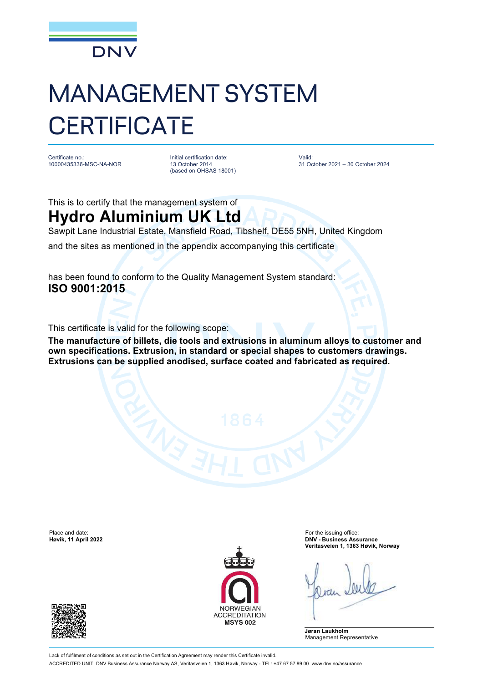

## MANAGEMENT SYSTEM **CERTIFICATE**

Certificate no.: 10000435336-MSC-NA-NOR Initial certification date: 13 October 2014 (based on OHSAS 18001) Valid: 31 October 2021 – 30 October 2024

This is to certify that the management system of

**Hydro Aluminium UK Ltd** Sawpit Lane Industrial Estate, Mansfield Road, Tibshelf, DE55 5NH, United Kingdom

and the sites as mentioned in the appendix accompanying this certificate

has been found to conform to the Quality Management System standard: **ISO 9001:2015**

This certificate is valid for the following scope:

**The manufacture of billets, die tools and extrusions in aluminum alloys to customer and own specifications. Extrusion, in standard or special shapes to customers drawings. Extrusions can be supplied anodised, surface coated and fabricated as required.**

Place and date: For the issuing office:<br> **Place and date:** For the issuing office:<br> **Place and date:** For the issuing office:<br> **Place and date:** For the issuing office:





**Høvik, 11 April 2022 DNV - Business Assurance Veritasveien 1, 1363 Høvik, Norway**

**Jøran Laukholm** Management Representative

Lack of fulfilment of conditions as set out in the Certification Agreement may render this Certificate invalid. ACCREDITED UNIT: DNV Business Assurance Norway AS, Veritasveien 1, 1363 Høvik, Norway - TEL: +47 67 57 99 00. [www.dnv.no/assurance](http://www.dnv.no/assurance)